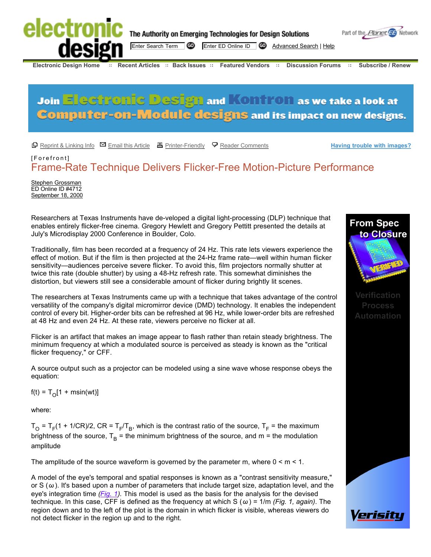

# **Join Electronic Design and Kontron as we take a look at Computer-on-Module designs and its impact on new designs.**

 $\Box$  Reprint & Linking Info  $\Box$  Email this Article  $\Box$  Printer-Friendly  $\Box$  Reader Comments

**Having trouble with images?**

# [Forefront] Frame-Rate Technique Delivers Flicker-Free Motion-Picture Performance

**Stephen Grossman** ED Online ID #4712 September 18, 2000

Researchers at Texas Instruments have de-veloped a digital light-processing (DLP) technique that enables entirely flicker-free cinema. Gregory Hewlett and Gregory Pettitt presented the details at July's Microdisplay 2000 Conference in Boulder, Colo.

Traditionally, film has been recorded at a frequency of 24 Hz. This rate lets viewers experience the effect of motion. But if the film is then projected at the 24-Hz frame rate—well within human flicker sensitivity—audiences perceive severe flicker. To avoid this, film projectors normally shutter at twice this rate (double shutter) by using a 48-Hz refresh rate. This somewhat diminishes the distortion, but viewers still see a considerable amount of flicker during brightly lit scenes.

The researchers at Texas Instruments came up with a technique that takes advantage of the control versatility of the company's digital micromirror device (DMD) technology. It enables the independent control of every bit. Higher-order bits can be refreshed at 96 Hz, while lower-order bits are refreshed at 48 Hz and even 24 Hz. At these rate, viewers perceive no flicker at all.

Flicker is an artifact that makes an image appear to flash rather than retain steady brightness. The minimum frequency at which a modulated source is perceived as steady is known as the "critical flicker frequency," or CFF.

A source output such as a projector can be modeled using a sine wave whose response obeys the equation:

 $f(t) = T_0[1 + msin(wt)]$ 

where:

 $T_{\rm O}$  = T<sub>F</sub>(1 + 1/CR)/2, CR = T<sub>F</sub>/T<sub>B</sub>, which is the contrast ratio of the source, T<sub>F</sub> = the maximum brightness of the source,  $T_B$  = the minimum brightness of the source, and m = the modulation amplitude

The amplitude of the source waveform is governed by the parameter m, where  $0 \le m \le 1$ .

A model of the eye's temporal and spatial responses is known as a "contrast sensitivity measure," or S  $(\omega)$ . It's based upon a number of parameters that include target size, adaptation level, and the eye's integration time (*Fig. 1*). This model is used as the basis for the analysis for the devised technique. In this case, CFF is defined as the frequency at which S ( $\omega$ ) = 1/m (Fig. 1, again). The region down and to the left of the plot is the domain in which flicker is visible, whereas viewers do not detect flicker in the region up and to the right.





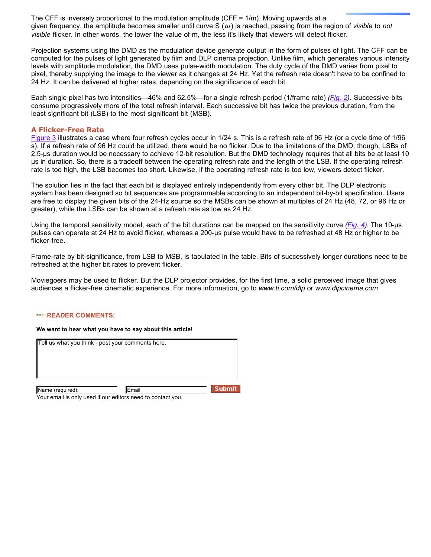The CFF is inversely proportional to the modulation amplitude (CFF = 1/m). Moving upwards at a given frequency, the amplitude becomes smaller until curve  $S(\omega)$  is reached, passing from the region of *visible* to *not* visible flicker. In other words, the lower the value of m, the less it's likely that viewers will detect flicker.

Projection systems using the DMD as the modulation device generate output in the form of pulses of light. The CFF can be computed for the pulses of light generated by film and DLP cinema projection. Unlike film, which generates various intensity levels with amplitude modulation, the DMD uses pulse-width modulation. The duty cycle of the DMD varies from pixel to pixel, thereby supplying the image to the viewer as it changes at 24 Hz. Yet the refresh rate doesn't have to be confined to 24 Hz. It can be delivered at higher rates, depending on the significance of each bit.

Each single pixel has two intensities—46% and 62.5%—for a single refresh period (1/frame rate) (Fig. 2). Successive bits consume progressively more of the total refresh interval. Each successive bit has twice the previous duration, from the least significant bit (LSB) to the most significant bit (MSB).

#### **A Flicker-Free Rate**

Figure 3 illustrates a case where four refresh cycles occur in 1/24 s. This is a refresh rate of 96 Hz (or a cycle time of 1/96 s). If a refresh rate of 96 Hz could be utilized, there would be no flicker. Due to the limitations of the DMD, though, LSBs of 2.5-µs duration would be necessary to achieve 12-bit resolution. But the DMD technology requires that all bits be at least 10 µs in duration. So, there is a tradeoff between the operating refresh rate and the length of the LSB. If the operating refresh rate is too high, the LSB becomes too short. Likewise, if the operating refresh rate is too low, viewers detect flicker.

The solution lies in the fact that each bit is displayed entirely independently from every other bit. The DLP electronic system has been designed so bit sequences are programmable according to an independent bit-by-bit specification. Users are free to display the given bits of the 24-Hz source so the MSBs can be shown at multiples of 24 Hz (48, 72, or 96 Hz or greater), while the LSBs can be shown at a refresh rate as low as 24 Hz.

Using the temporal sensitivity model, each of the bit durations can be mapped on the sensitivity curve (*Fig. 4*). The 10-µs pulses can operate at 24 Hz to avoid flicker, whereas a 200-µs pulse would have to be refreshed at 48 Hz or higher to be flicker-free.

Frame-rate by bit-significance, from LSB to MSB, is tabulated in the table. Bits of successively longer durations need to be refreshed at the higher bit rates to prevent flicker.

Moviegoers may be used to flicker. But the DLP projector provides, for the first time, a solid perceived image that gives audiences a flicker-free cinematic experience. For more information, go to *www.ti.com/dlp* or *www.dlpcinema.com*.

#### **READER COMMENTS:**

#### **We want to hear what you have to say about this article!**

| Tell us what you think - post your comments here.           |       |               |  |  |  |
|-------------------------------------------------------------|-------|---------------|--|--|--|
|                                                             |       |               |  |  |  |
|                                                             |       |               |  |  |  |
| Name (required):                                            | Email | <b>Submit</b> |  |  |  |
| Your email is only used if our editors need to contact you. |       |               |  |  |  |